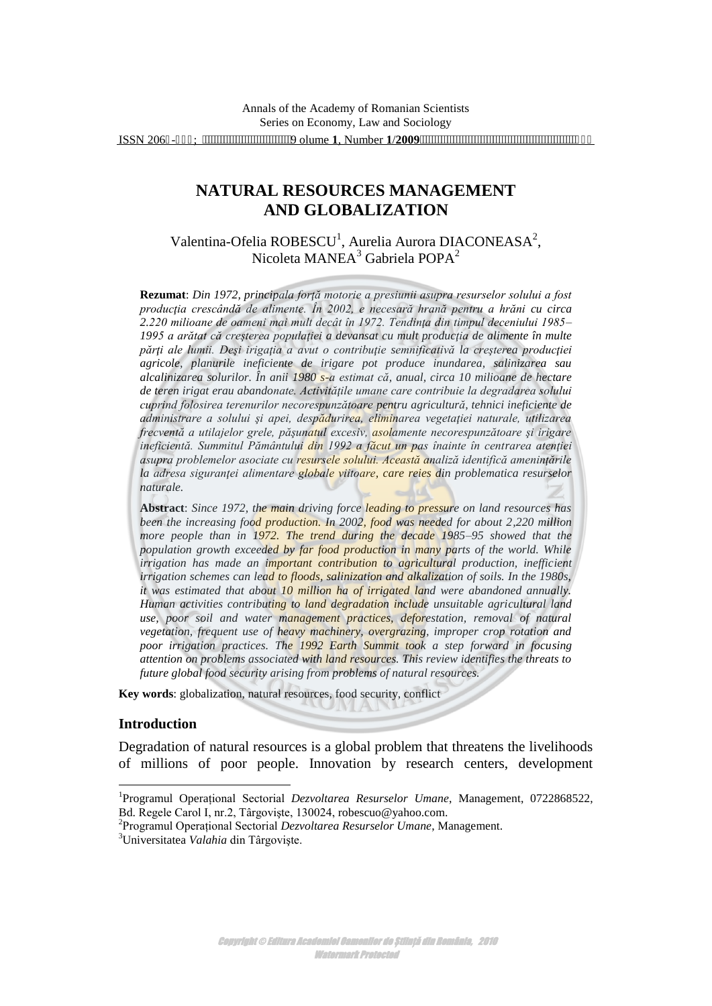## **NATURAL RESOURCES MANAGEMENT AND GLOBALIZATION**

Valentina-Ofelia ROBESCU<sup>1</sup>, Aurelia Aurora DIACONEASA<sup>2</sup>, Nicoleta MANEA<sup>3</sup> Gabriela POPA<sup>2</sup>

**Rezumat**: *Din 1972, principala forţă motorie a presiunii asupra resurselor solului a fost producţia crescândă de alimente. În 2002, e necesară hrană pentru a hrăni cu circa 2.220 milioane de oameni mai mult decât în 1972. Tendinţa din timpul deceniului 1985– 1995 a arătat că creşterea populaţiei a devansat cu mult producţia de alimente în multe părţi ale lumii. Deşi irigaţia a avut o contribuţie semnificativă la creşterea producţiei agricole, planurile ineficiente de irigare pot produce inundarea, salinizarea sau alcalinizarea solurilor. În anii 1980 s-a estimat că, anual, circa 10 milioane de hectare de teren irigat erau abandonate. Activităţile umane care contribuie la degradarea solului cuprind folosirea terenurilor necorespunzătoare pentru agricultură, tehnici ineficiente de administrare a solului şi apei, despădurirea, eliminarea vegetaţiei naturale, utilizarea frecventă a utilajelor grele, păşunatul excesiv, asolamente necorespunzătoare şi irigare ineficientă. Summitul Pământului din 1992 a făcut un pas înainte în centrarea atenţiei asupra problemelor asociate cu resursele solului. Această analiză identifică ameninţările la adresa siguranţei alimentare globale viitoare, care reies din problematica resurselor naturale.* 

**Abstract**: *Since 1972, the main driving force leading to pressure on land resources has been the increasing food production. In 2002, food was needed for about 2,220 million more people than in 1972. The trend during the decade 1985–95 showed that the population growth exceeded by far food production in many parts of the world. While irrigation has made an important contribution to agricultural production, inefficient irrigation schemes can lead to floods, salinization and alkalization of soils. In the 1980s, it was estimated that about 10 million ha of irrigated land were abandoned annually. Human activities contributing to land degradation include unsuitable agricultural land*  use, poor soil and water management practices, deforestation, removal of natural *vegetation, frequent use of heavy machinery, overgrazing, improper crop rotation and poor irrigation practices. The 1992 Earth Summit took a step forward in focusing attention on problems associated with land resources. This review identifies the threats to future global food security arising from problems of natural resources.*

**Key words**: globalization, natural resources, food security, conflict

#### **Introduction**

 $\overline{a}$ 

Degradation of natural resources is a global problem that threatens the livelihoods of millions of poor people. Innovation by research centers, development

<sup>&</sup>lt;sup>1</sup>Programul Operațional Sectorial *Dezvoltarea Resurselor Umane*, Management, 0722868522, Bd. Regele Carol I, nr.2, Târgovişte, 130024, [robescuo@yahoo.com.](mailto:robescuo@yahoo.com)

<sup>2</sup> Programul Operațional Sectorial *Dezvoltarea Resurselor Umane*, Management.

<sup>3</sup>Universitatea *Valahia* din Târgovişte.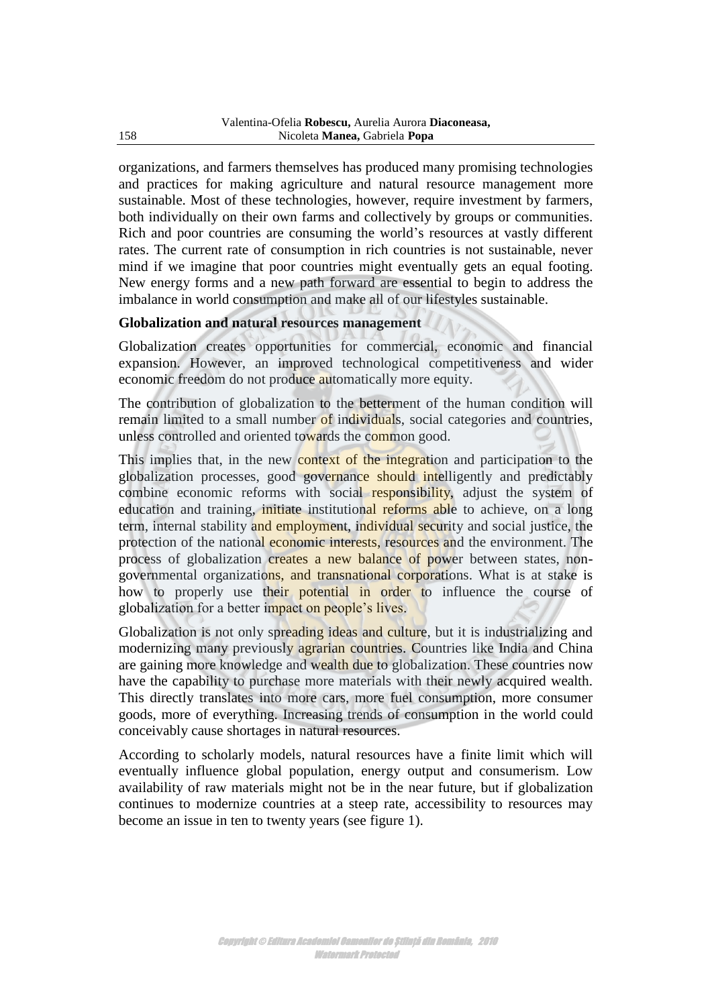organizations, and farmers themselves has produced many promising technologies and practices for making agriculture and natural resource management more sustainable. Most of these technologies, however, require investment by farmers, both individually on their own farms and collectively by groups or communities. Rich and poor countries are consuming the world"s resources at vastly different rates. The current rate of consumption in rich countries is not sustainable, never mind if we imagine that poor countries might eventually gets an equal footing. New energy forms and a new path forward are essential to begin to address the imbalance in world consumption and make all of our lifestyles sustainable.

### **Globalization and natural resources management**

Globalization creates opportunities for commercial, economic and financial expansion. However, an improved technological competitiveness and wider economic freedom do not produce automatically more equity.

The contribution of globalization to the betterment of the human condition will remain limited to a small number of individuals, social categories and countries, unless controlled and oriented towards the common good.

This implies that, in the new context of the integration and participation to the globalization processes, good governance should intelligently and predictably combine economic reforms with social responsibility, adjust the system of education and training, *initiate* institutional reforms able to achieve, on a long term, internal stability and employment, individual security and social justice, the protection of the national economic interests, resources and the environment. The process of globalization creates a new balance of power between states, nongovernmental organizations, and transnational corporations. What is at stake is how to properly use their potential in order to influence the course of globalization for a better impact on people"s lives.

Globalization is not only spreading ideas and culture, but it is industrializing and modernizing many previously agrarian countries. Countries like India and China are gaining more knowledge and wealth due to globalization. These countries now have the capability to purchase more materials with their newly acquired wealth. This directly translates into more cars, more fuel consumption, more consumer goods, more of everything. Increasing trends of consumption in the world could conceivably cause shortages in natural resources.

According to scholarly models, natural resources have a finite limit which will eventually influence global population, energy output and consumerism. Low availability of raw materials might not be in the near future, but if globalization continues to modernize countries at a steep rate, accessibility to resources may become an issue in ten to twenty years (see figure 1).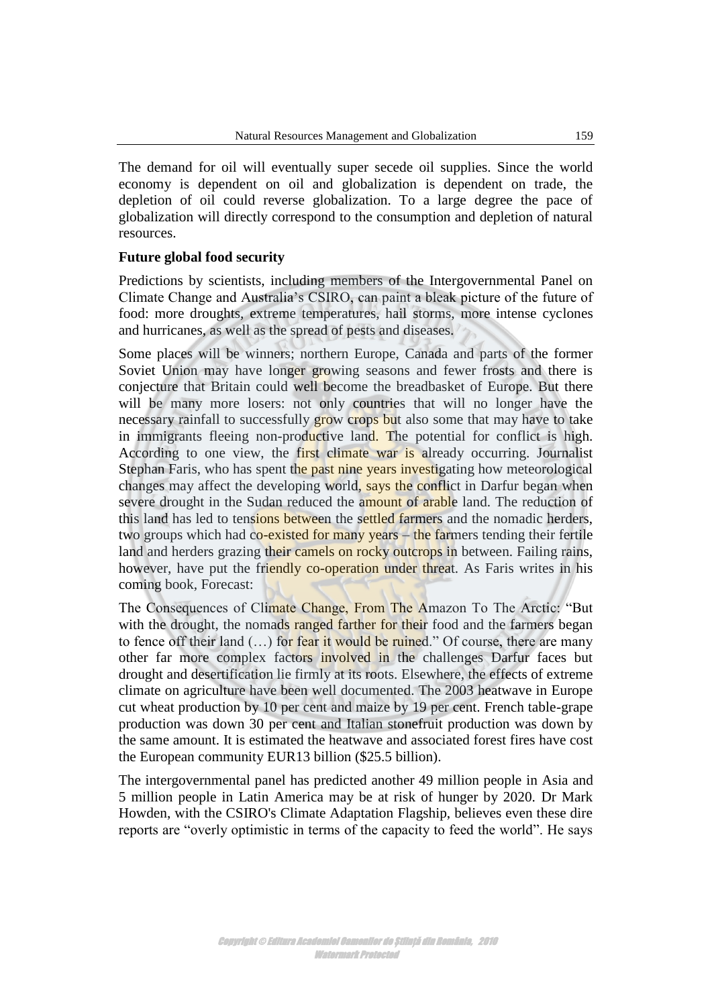The demand for oil will eventually super secede oil supplies. Since the world economy is dependent on oil and globalization is dependent on trade, the depletion of oil could reverse globalization. To a large degree the pace of globalization will directly correspond to the consumption and depletion of natural resources.

### **Future global food security**

Predictions by scientists, including members of the Intergovernmental Panel on Climate Change and Australia"s CSIRO, can paint a bleak picture of the future of food: more droughts, extreme temperatures, hail storms, more intense cyclones and hurricanes, as well as the spread of pests and diseases.

Some places will be winners; northern Europe, Canada and parts of the former Soviet Union may have longer growing seasons and fewer frosts and there is conjecture that Britain could well become the breadbasket of Europe. But there will be many more losers: not only countries that will no longer have the necessary rainfall to successfully grow crops but also some that may have to take in immigrants fleeing non-productive land. The potential for conflict is high. According to one view, the first climate war is already occurring. Journalist Stephan Faris, who has spent the past nine years investigating how meteorological changes may affect the developing world, says the conflict in Darfur began when severe drought in the Sudan reduced the amount of arable land. The reduction of this land has led to tensions between the settled farmers and the nomadic herders, two groups which had co-existed for many years – the farmers tending their fertile land and herders grazing their camels on rocky outcrops in between. Failing rains, however, have put the friendly co-operation under threat. As Faris writes in his coming book, Forecast:

The Consequences of Climate Change, From The Amazon To The Arctic: "But with the drought, the nomads ranged farther for their food and the farmers began to fence off their land  $(...)$  for fear it would be ruined." Of course, there are many other far more complex factors involved in the challenges Darfur faces but drought and desertification lie firmly at its roots. Elsewhere, the effects of extreme climate on agriculture have been well documented. The 2003 heatwave in Europe cut wheat production by 10 per cent and maize by 19 per cent. French table-grape production was down 30 per cent and Italian stonefruit production was down by the same amount. It is estimated the heatwave and associated forest fires have cost the European community EUR13 billion (\$25.5 billion).

The intergovernmental panel has predicted another 49 million people in Asia and 5 million people in Latin America may be at risk of hunger by 2020. Dr Mark Howden, with the CSIRO's Climate Adaptation Flagship, believes even these dire reports are "overly optimistic in terms of the capacity to feed the world". He says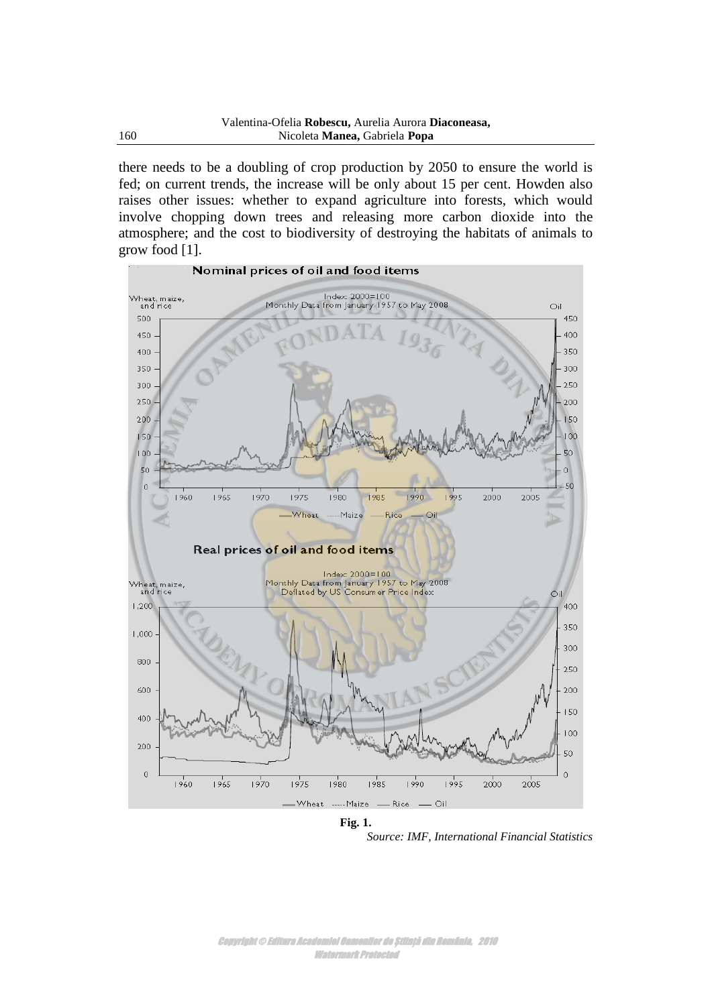there needs to be a doubling of crop production by 2050 to ensure the world is fed; on current trends, the increase will be only about 15 per cent. Howden also raises other issues: whether to expand agriculture into forests, which would involve chopping down trees and releasing more carbon dioxide into the atmosphere; and the cost to biodiversity of destroying the habitats of animals to grow food [1].



*Source: IMF, International Financial Statistics* 

**Fig. 1.**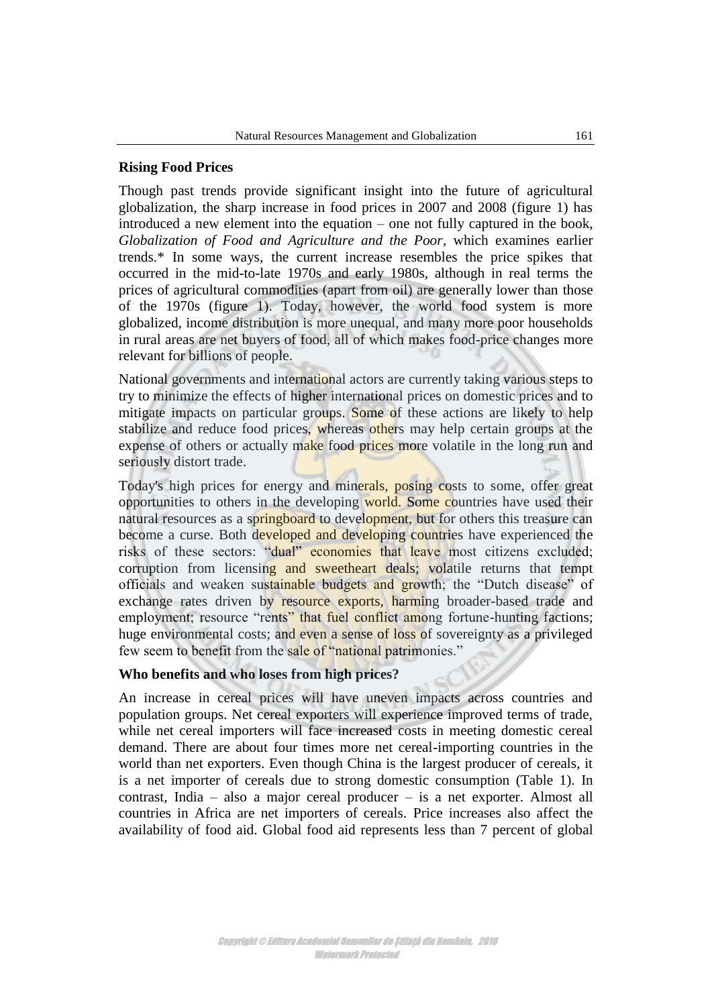#### **Rising Food Prices**

Though past trends provide significant insight into the future of agricultural globalization, the sharp increase in food prices in 2007 and 2008 (figure 1) has introduced a new element into the equation – one not fully captured in the book, *Globalization of Food and Agriculture and the Poor,* which examines earlier trends.\* In some ways, the current increase resembles the price spikes that occurred in the mid-to-late 1970s and early 1980s, although in real terms the prices of agricultural commodities (apart from oil) are generally lower than those of the 1970s (figure 1). Today, however, the world food system is more globalized, income distribution is more unequal, and many more poor households in rural areas are net buyers of food, all of which makes food-price changes more relevant for billions of people.

National governments and international actors are currently taking various steps to try to minimize the effects of higher international prices on domestic prices and to mitigate impacts on particular groups. Some of these actions are likely to help stabilize and reduce food prices, whereas others may help certain groups at the expense of others or actually make food prices more volatile in the long run and seriously distort trade.

Today's high prices for energy and minerals, posing costs to some, offer great opportunities to others in the developing world. Some countries have used their natural resources as a springboard to development, but for others this treasure can become a curse. Both developed and developing countries have experienced the risks of these sectors: "dual" economies that leave most citizens excluded; corruption from licensing and sweetheart deals; volatile returns that tempt officials and weaken sustainable budgets and growth; the "Dutch disease" of exchange rates driven by resource exports, harming broader-based trade and employment; resource "rents" that fuel conflict among fortune-hunting factions; huge environmental costs; and even a sense of loss of sovereignty as a privileged few seem to benefit from the sale of "national patrimonies."

### **Who benefits and who loses from high prices?**

An increase in cereal prices will have uneven impacts across countries and population groups. Net cereal exporters will experience improved terms of trade, while net cereal importers will face increased costs in meeting domestic cereal demand. There are about four times more net cereal-importing countries in the world than net exporters. Even though China is the largest producer of cereals, it is a net importer of cereals due to strong domestic consumption (Table 1). In contrast, India – also a major cereal producer – is a net exporter. Almost all countries in Africa are net importers of cereals. Price increases also affect the availability of food aid. Global food aid represents less than 7 percent of global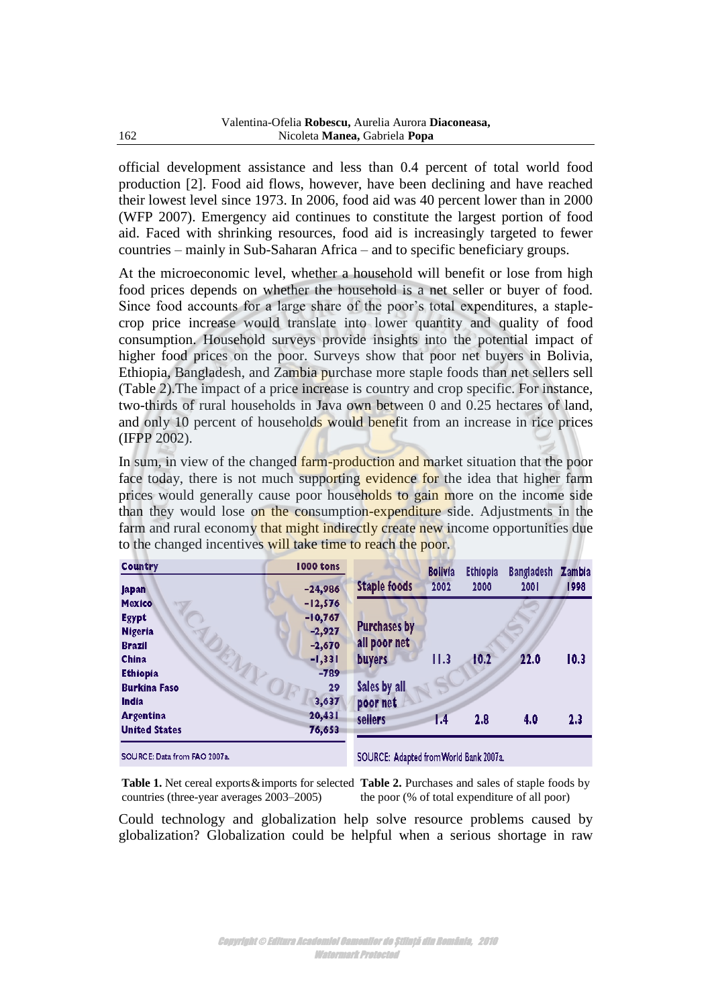official development assistance and less than 0.4 percent of total world food production [2]. Food aid flows, however, have been declining and have reached their lowest level since 1973. In 2006, food aid was 40 percent lower than in 2000 (WFP 2007). Emergency aid continues to constitute the largest portion of food aid. Faced with shrinking resources, food aid is increasingly targeted to fewer countries – mainly in Sub-Saharan Africa – and to specific beneficiary groups.

At the microeconomic level, whether a household will benefit or lose from high food prices depends on whether the household is a net seller or buyer of food. Since food accounts for a large share of the poor's total expenditures, a staplecrop price increase would translate into lower quantity and quality of food consumption. Household surveys provide insights into the potential impact of higher food prices on the poor. Surveys show that poor net buyers in Bolivia, Ethiopia, Bangladesh, and Zambia purchase more staple foods than net sellers sell (Table 2).The impact of a price increase is country and crop specific. For instance, two-thirds of rural households in Java own between 0 and 0.25 hectares of land, and only 10 percent of households would benefit from an increase in rice prices (IFPP 2002).

In sum, in view of the changed farm-production and market situation that the poor face today, there is not much supporting evidence for the idea that higher farm prices would generally cause poor households to gain more on the income side than they would lose on the consumption-expenditure side. Adjustments in the farm and rural economy that might indirectly create new income opportunities due to the changed incentives will take time to reach the poor.

| Country                      | <b>1000 tons</b> |                                        | <b>Bolivia</b> | <b>Ethiopia</b> | <b>Bangladesh</b> | <b>Zambia</b> |
|------------------------------|------------------|----------------------------------------|----------------|-----------------|-------------------|---------------|
| <b>Japan</b>                 | $-24,986$        | <b>Staple foods</b>                    | 2002           | 2000            | 2001              | 1998          |
| <b>Mexico</b>                | $-12,576$        |                                        |                |                 |                   |               |
| <b>Egypt</b>                 | $-10,767$        |                                        |                |                 |                   |               |
| <b>Nigeria</b>               | $-2,927$         | <b>Purchases by</b>                    |                |                 |                   |               |
| <b>Brazil</b>                | $-2,670$         | all poor net                           |                |                 |                   |               |
| China                        | $-1,331$         | <b>buyers</b>                          | 11.3           | 10.2            | 22.0              | 10.3          |
| <b>Ethiopia</b>              | $-789$           |                                        |                |                 |                   |               |
| <b>Burkina Faso</b>          | 29               | Sales by all                           |                |                 |                   |               |
| <b>India</b>                 | 3,637            | poor net                               |                |                 |                   |               |
| <b>Argentina</b>             | 20,431           | sellers                                | 1.4            | 2.8             | 4.0               | 2.3           |
| <b>United States</b>         | 76,653           |                                        |                |                 |                   |               |
|                              |                  |                                        |                |                 |                   |               |
| SOURCE: Data from FAO 2007a. |                  | SOURCE: Adapted from World Bank 2007a. |                |                 |                   |               |

**Table 1.** Net cereal exports&imports for selected **Table 2.** Purchases and sales of staple foods by countries (three-year averages 2003–2005) the poor (% of total expenditure of all poor)

Could technology and globalization help solve resource problems caused by globalization? Globalization could be helpful when a serious shortage in raw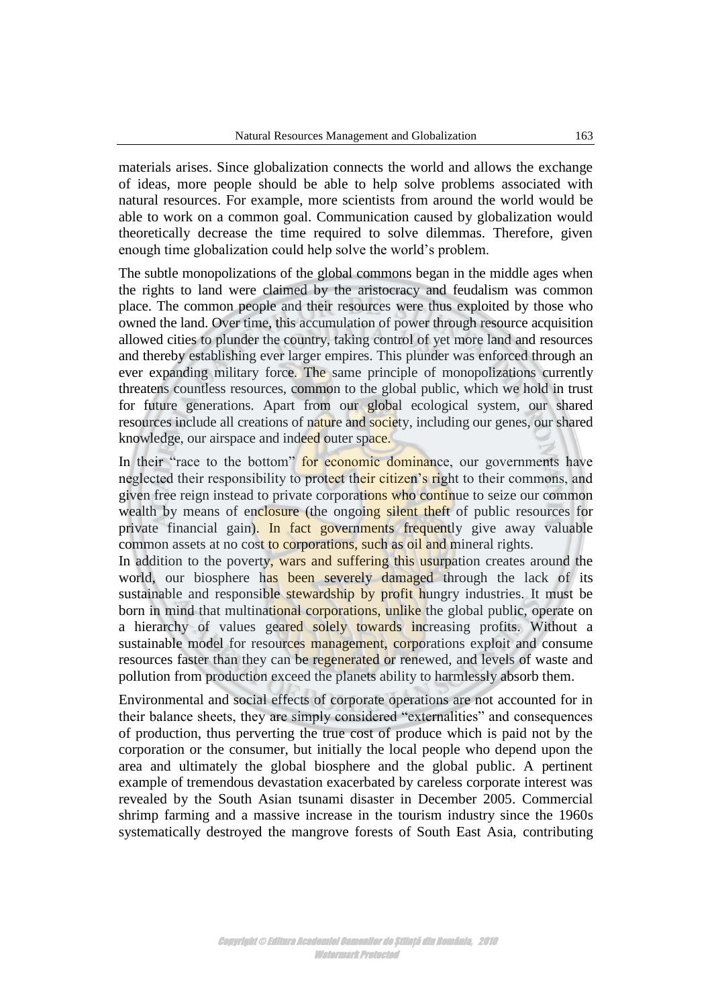materials arises. Since globalization connects the world and allows the exchange of ideas, more people should be able to help solve problems associated with natural resources. For example, more scientists from around the world would be able to work on a common goal. Communication caused by globalization would theoretically decrease the time required to solve dilemmas. Therefore, given enough time globalization could help solve the world"s problem.

The subtle monopolizations of the global commons began in the middle ages when the rights to land were claimed by the aristocracy and feudalism was common place. The common people and their resources were thus exploited by those who owned the land. Over time, this accumulation of power through resource acquisition allowed cities to plunder the country, taking control of yet more land and resources and thereby establishing ever larger empires. This plunder was enforced through an ever expanding military force. The same principle of monopolizations currently threatens countless resources, common to the global public, which we hold in trust for future generations. Apart from our global ecological system, our shared resources include all creations of nature and society, including our genes, our shared knowledge, our airspace and indeed outer space.

In their "race to the bottom" for economic dominance, our governments have neglected their responsibility to protect their citizen's right to their commons, and given free reign instead to private corporations who continue to seize our common wealth by means of [enclosure](http://www.reference.com/browse/wiki/Inclosure) (the ongoing silent theft of public resources for private financial gain). In fact governments frequently give away valuable common assets at no cost to corporations, such as oil and mineral rights.

In addition to the poverty, wars and suffering this usurpation creates around the world, our biosphere has been severely damaged through the lack of its sustainable and responsible stewardship by profit hungry industries. It must be born in mind that multinational corporations, unlike the global public, operate on a hierarchy of values geared solely towards increasing profits. Without a sustainable model for resources management, corporations exploit and consume resources faster than they can be regenerated or renewed, and levels of waste and pollution from production exceed the planets ability to harmlessly absorb them.

Environmental and social effects of corporate operations are not accounted for in their balance sheets, they are simply considered "externalities" and consequences of production, thus perverting the true cost of produce which is paid not by the corporation or the consumer, but initially the local people who depend upon the area and ultimately the global biosphere and the global public. A pertinent example of tremendous devastation exacerbated by careless corporate interest was revealed by the South Asian [tsunami disaster in December 2005.](http://www.stwr.org/content/view/205/37) Commercial shrimp farming and a massive increase in the tourism industry since the 1960s systematically destroyed the mangrove forests of South East Asia, [contributing](http://www.stwr.org/content/view/362/36)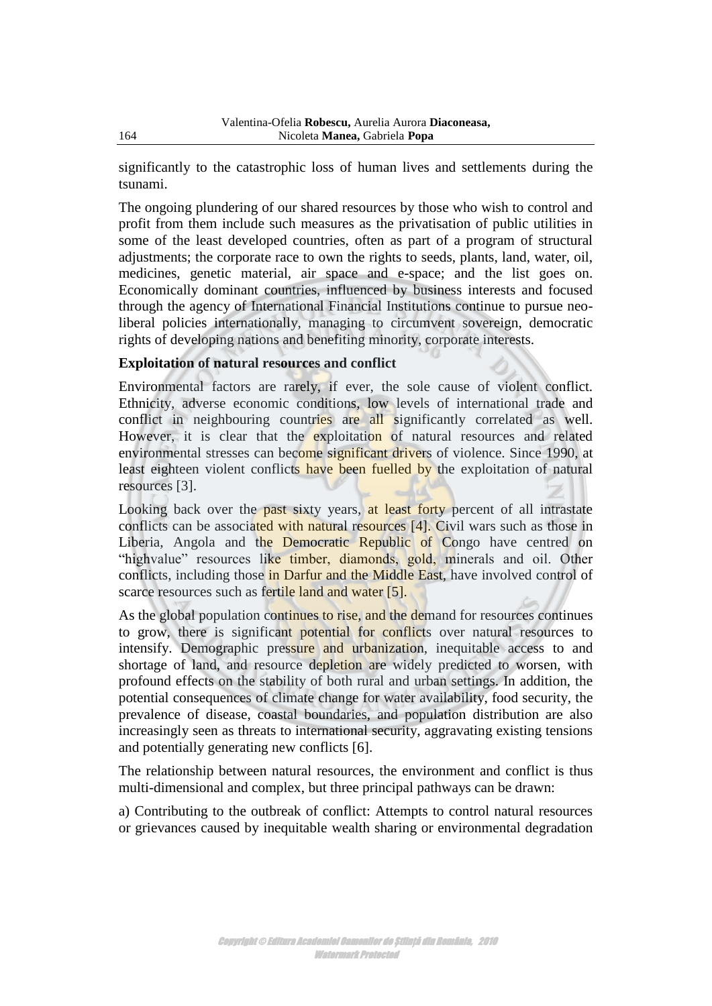significantly to the catastrophic loss of human lives and settlements during the tsunami.

The ongoing plundering of our shared resources by those who wish to control and profit from them include such measures as the privatisation of public utilities in some of the least developed countries, often as part of a program of structural adjustments; the corporate race to own the rights to seeds, plants, land, water, oil, medicines, genetic material, air space and e-space; and the list goes on. Economically dominant countries, influenced by business interests and focused through the agency of International Financial Institutions continue to pursue neoliberal policies internationally, managing to circumvent sovereign, democratic rights of developing nations and benefiting minority, corporate interests.

### **Exploitation of natural resources and conflict**

Environmental factors are rarely, if ever, the sole cause of violent conflict. Ethnicity, adverse economic conditions, low levels of international trade and conflict in neighbouring countries are all significantly correlated as well. However, it is clear that the exploitation of natural resources and related environmental stresses can become significant drivers of violence. Since 1990, at least eighteen violent conflicts have been fuelled by the exploitation of natural resources [3].

Looking back over the past sixty years, at least forty percent of all intrastate conflicts can be associated with natural resources [4]. Civil wars such as those in Liberia, Angola and the Democratic Republic of Congo have centred on "highvalue" resources like timber, diamonds, gold, minerals and oil. Other conflicts, including those in Darfur and the Middle East, have involved control of scarce resources such as fertile land and water [5].

As the global population continues to rise, and the demand for resources continues to grow, there is significant potential for conflicts over natural resources to intensify. Demographic pressure and urbanization, inequitable access to and shortage of land, and resource depletion are widely predicted to worsen, with profound effects on the stability of both rural and urban settings. In addition, the potential consequences of climate change for water availability, food security, the prevalence of disease, coastal boundaries, and population distribution are also increasingly seen as threats to international security, aggravating existing tensions and potentially generating new conflicts [6].

The relationship between natural resources, the environment and conflict is thus multi-dimensional and complex, but three principal pathways can be drawn:

a) Contributing to the outbreak of conflict: Attempts to control natural resources or grievances caused by inequitable wealth sharing or environmental degradation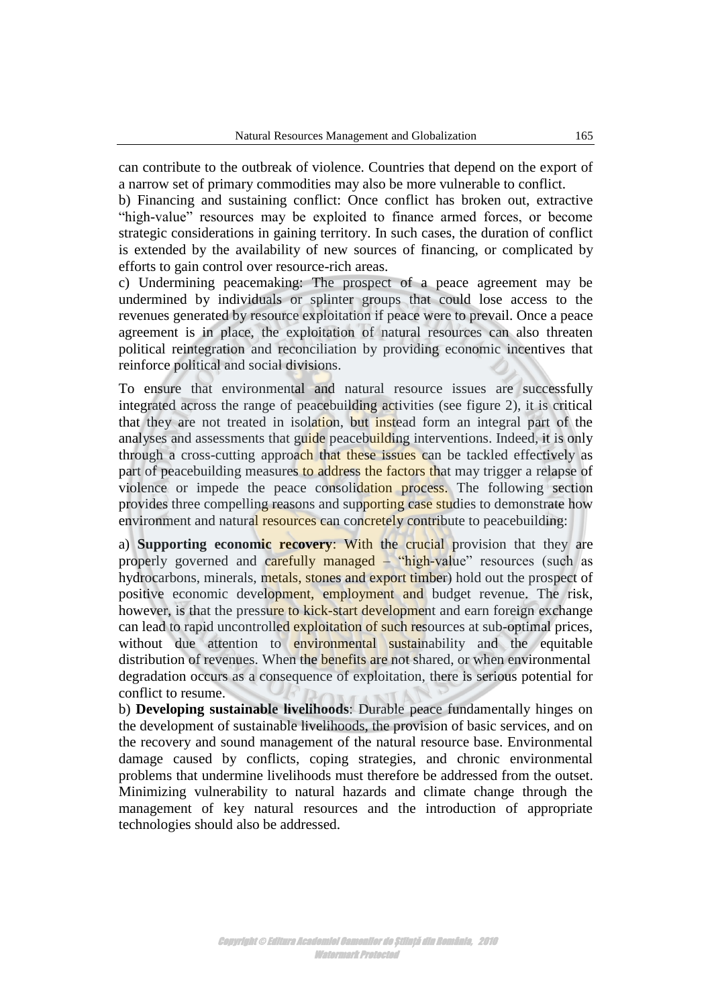can contribute to the outbreak of violence. Countries that depend on the export of a narrow set of primary commodities may also be more vulnerable to conflict.

b) Financing and sustaining conflict: Once conflict has broken out, extractive "high-value" resources may be exploited to finance armed forces, or become strategic considerations in gaining territory. In such cases, the duration of conflict is extended by the availability of new sources of financing, or complicated by efforts to gain control over resource-rich areas.

c) Undermining peacemaking: The prospect of a peace agreement may be undermined by individuals or splinter groups that could lose access to the revenues generated by resource exploitation if peace were to prevail. Once a peace agreement is in place, the exploitation of natural resources can also threaten political reintegration and reconciliation by providing economic incentives that reinforce political and social divisions.

To ensure that environmental and natural resource issues are successfully integrated across the range of peacebuilding activities (see figure 2), it is critical that they are not treated in isolation, but instead form an integral part of the analyses and assessments that guide peacebuilding interventions. Indeed, it is only through a cross-cutting approach that these issues can be tackled effectively as part of peacebuilding measures to address the factors that may trigger a relapse of violence or impede the peace consolidation process. The following section provides three compelling reasons and supporting case studies to demonstrate how environment and natural resources can concretely contribute to peacebuilding:

a) **Supporting economic recovery**: With the crucial provision that they are properly governed and carefully managed – "high-value" resources (such as hydrocarbons, minerals, metals, stones and export timber) hold out the prospect of positive economic development, employment and budget revenue. The risk, however, is that the pressure to kick-start development and earn foreign exchange can lead to rapid uncontrolled exploitation of such resources at sub-optimal prices, without due attention to environmental sustainability and the equitable distribution of revenues. When the benefits are not shared, or when environmental degradation occurs as a consequence of exploitation, there is serious potential for conflict to resume.

b) **Developing sustainable livelihoods**: Durable peace fundamentally hinges on the development of sustainable livelihoods, the provision of basic services, and on the recovery and sound management of the natural resource base. Environmental damage caused by conflicts, coping strategies, and chronic environmental problems that undermine livelihoods must therefore be addressed from the outset. Minimizing vulnerability to natural hazards and climate change through the management of key natural resources and the introduction of appropriate technologies should also be addressed.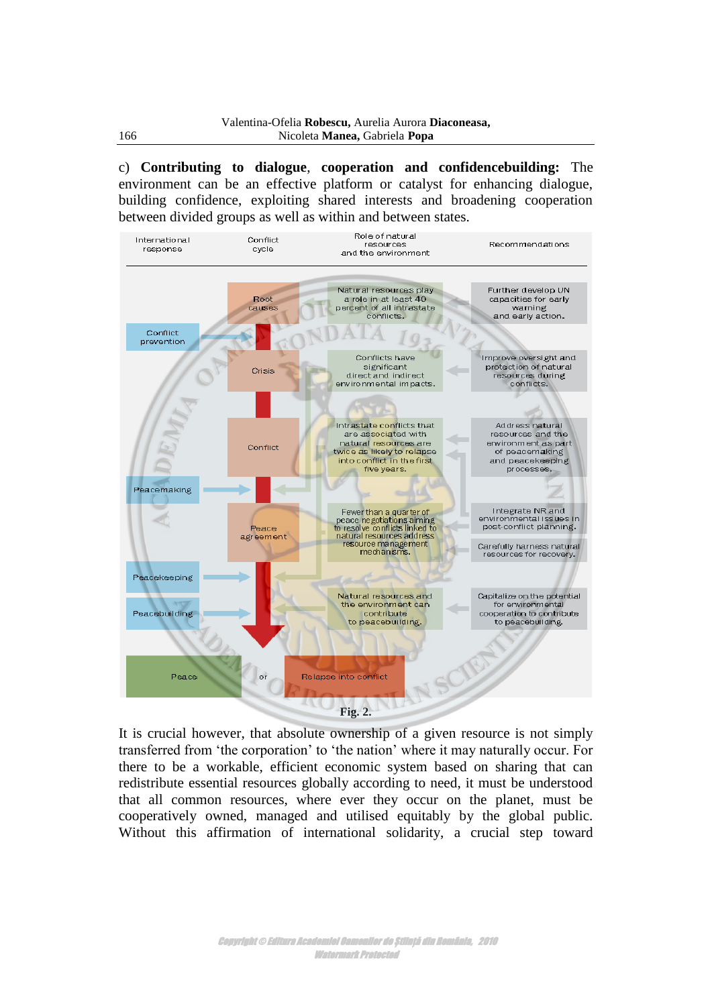c) **Contributing to dialogue**, **cooperation and confidencebuilding:** The environment can be an effective platform or catalyst for enhancing dialogue, building confidence, exploiting shared interests and broadening cooperation between divided groups as well as within and between states.



It is crucial however, that absolute ownership of a given resource is not simply transferred from "the corporation" to "the nation" where it may naturally occur. For there to be a workable, efficient economic system based on sharing that can redistribute essential resources globally according to need, it must be understood that all common resources, where ever they occur on the planet, must be cooperatively owned, managed and utilised equitably by the global public. Without this affirmation of international solidarity, a crucial step toward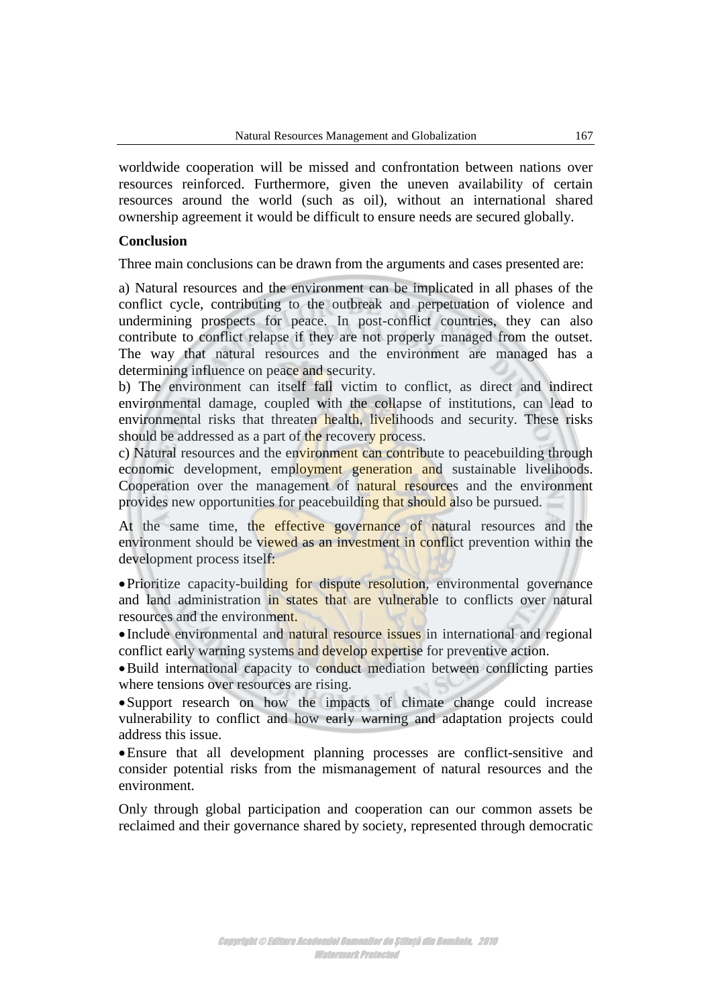worldwide cooperation will be missed and confrontation between nations over resources reinforced. Furthermore, given the uneven availability of certain resources around the world (such as oil), without an international shared ownership agreement it would be difficult to ensure needs are secured globally.

#### **Conclusion**

Three main conclusions can be drawn from the arguments and cases presented are:

a) Natural resources and the environment can be implicated in all phases of the conflict cycle, contributing to the outbreak and perpetuation of violence and undermining prospects for peace. In post-conflict countries, they can also contribute to conflict relapse if they are not properly managed from the outset. The way that natural resources and the environment are managed has a determining influence on peace and security.

b) The environment can itself fall victim to conflict, as direct and indirect environmental damage, coupled with the collapse of institutions, can lead to environmental risks that threaten health, livelihoods and security. These risks should be addressed as a part of the recovery process.

c) Natural resources and the environment can contribute to peacebuilding through economic development, employment generation and sustainable livelihoods. Cooperation over the management of natural resources and the environment provides new opportunities for peacebuilding that should also be pursued.

At the same time, the effective governance of natural resources and the environment should be viewed as an investment in conflict prevention within the development process itself:

• Prioritize capacity-building for dispute resolution, environmental governance and land administration in states that are vulnerable to conflicts over natural resources and the environment.

• Include environmental and natural resource issues in international and regional conflict early warning systems and develop expertise for preventive action.

Build international capacity to conduct mediation between conflicting parties where tensions over resources are rising.

Support research on how the impacts of climate change could increase vulnerability to conflict and how early warning and adaptation projects could address this issue.

Ensure that all development planning processes are conflict-sensitive and consider potential risks from the mismanagement of natural resources and the environment.

Only through global participation and cooperation can our common assets be reclaimed and their governance shared by society, represented through democratic